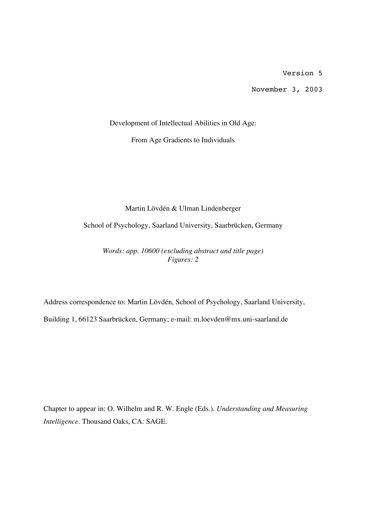Version 5

November 3, 2003

Development of Intellectual Abilities in Old Age:

From Age Gradients to Individuals

Martin Lövdén & Ulman Lindenberger

School of Psychology, Saarland University, Saarbrücken, Germany

*Words: app. 10600 (excluding abstract and title page) Figures: 2*

Address correspondence to: Martin Lövdén, School of Psychology, Saarland University,

Building 1, 66123 Saarbrücken, Germany; e-mail: m.loevden@mx.uni-saarland.de

Chapter to appear in: O. Wilhelm and R. W. Engle (Eds.). *Understanding and Measuring Intelligence.* Thousand Oaks, CA: SAGE.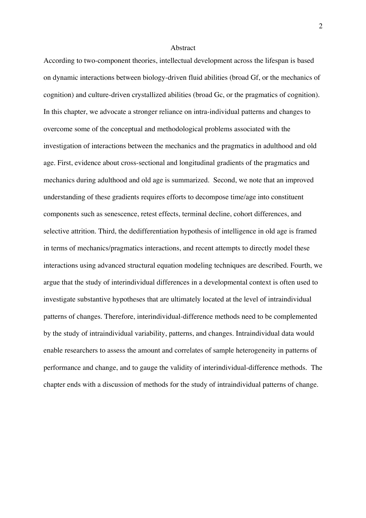### Abstract

According to two-component theories, intellectual development across the lifespan is based on dynamic interactions between biology-driven fluid abilities (broad Gf, or the mechanics of cognition) and culture-driven crystallized abilities (broad Gc, or the pragmatics of cognition). In this chapter, we advocate a stronger reliance on intra-individual patterns and changes to overcome some of the conceptual and methodological problems associated with the investigation of interactions between the mechanics and the pragmatics in adulthood and old age. First, evidence about cross-sectional and longitudinal gradients of the pragmatics and mechanics during adulthood and old age is summarized. Second, we note that an improved understanding of these gradients requires efforts to decompose time/age into constituent components such as senescence, retest effects, terminal decline, cohort differences, and selective attrition. Third, the dedifferentiation hypothesis of intelligence in old age is framed in terms of mechanics/pragmatics interactions, and recent attempts to directly model these interactions using advanced structural equation modeling techniques are described. Fourth, we argue that the study of interindividual differences in a developmental context is often used to investigate substantive hypotheses that are ultimately located at the level of intraindividual patterns of changes. Therefore, interindividual-difference methods need to be complemented by the study of intraindividual variability, patterns, and changes. Intraindividual data would enable researchers to assess the amount and correlates of sample heterogeneity in patterns of performance and change, and to gauge the validity of interindividual-difference methods. The chapter ends with a discussion of methods for the study of intraindividual patterns of change.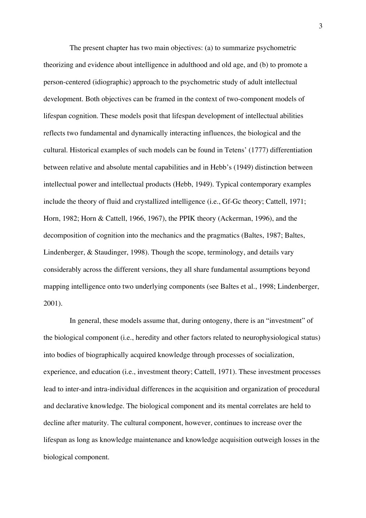The present chapter has two main objectives: (a) to summarize psychometric theorizing and evidence about intelligence in adulthood and old age, and (b) to promote a person-centered (idiographic) approach to the psychometric study of adult intellectual development. Both objectives can be framed in the context of two-component models of lifespan cognition. These models posit that lifespan development of intellectual abilities reflects two fundamental and dynamically interacting influences, the biological and the cultural. Historical examples of such models can be found in Tetens' (1777) differentiation between relative and absolute mental capabilities and in Hebb's (1949) distinction between intellectual power and intellectual products (Hebb, 1949). Typical contemporary examples include the theory of fluid and crystallized intelligence (i.e., Gf-Gc theory; Cattell, 1971; Horn, 1982; Horn & Cattell, 1966, 1967), the PPIK theory (Ackerman, 1996), and the decomposition of cognition into the mechanics and the pragmatics (Baltes, 1987; Baltes, Lindenberger, & Staudinger, 1998). Though the scope, terminology, and details vary considerably across the different versions, they all share fundamental assumptions beyond mapping intelligence onto two underlying components (see Baltes et al., 1998; Lindenberger, 2001).

In general, these models assume that, during ontogeny, there is an "investment" of the biological component (i.e., heredity and other factors related to neurophysiological status) into bodies of biographically acquired knowledge through processes of socialization, experience, and education (i.e., investment theory; Cattell, 1971). These investment processes lead to inter-and intra-individual differences in the acquisition and organization of procedural and declarative knowledge. The biological component and its mental correlates are held to decline after maturity. The cultural component, however, continues to increase over the lifespan as long as knowledge maintenance and knowledge acquisition outweigh losses in the biological component.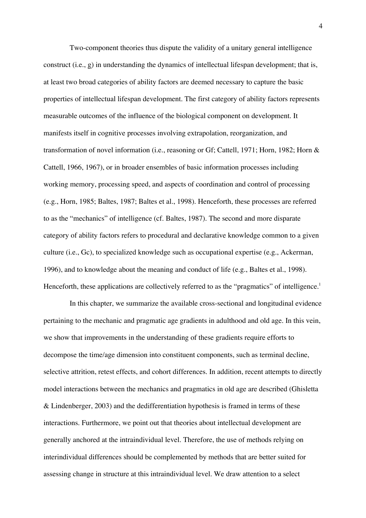Two-component theories thus dispute the validity of a unitary general intelligence construct (i.e., g) in understanding the dynamics of intellectual lifespan development; that is, at least two broad categories of ability factors are deemed necessary to capture the basic properties of intellectual lifespan development. The first category of ability factors represents measurable outcomes of the influence of the biological component on development. It manifests itself in cognitive processes involving extrapolation, reorganization, and transformation of novel information (i.e., reasoning or Gf; Cattell, 1971; Horn, 1982; Horn & Cattell, 1966, 1967), or in broader ensembles of basic information processes including working memory, processing speed, and aspects of coordination and control of processing (e.g., Horn, 1985; Baltes, 1987; Baltes et al., 1998). Henceforth, these processes are referred to as the "mechanics" of intelligence (cf. Baltes, 1987). The second and more disparate category of ability factors refers to procedural and declarative knowledge common to a given culture (i.e., Gc), to specialized knowledge such as occupational expertise (e.g., Ackerman, 1996), and to knowledge about the meaning and conduct of life (e.g., Baltes et al., 1998). Henceforth, these applications are collectively referred to as the "pragmatics" of intelligence.<sup>1</sup>

In this chapter, we summarize the available cross-sectional and longitudinal evidence pertaining to the mechanic and pragmatic age gradients in adulthood and old age. In this vein, we show that improvements in the understanding of these gradients require efforts to decompose the time/age dimension into constituent components, such as terminal decline, selective attrition, retest effects, and cohort differences. In addition, recent attempts to directly model interactions between the mechanics and pragmatics in old age are described (Ghisletta & Lindenberger, 2003) and the dedifferentiation hypothesis is framed in terms of these interactions. Furthermore, we point out that theories about intellectual development are generally anchored at the intraindividual level. Therefore, the use of methods relying on interindividual differences should be complemented by methods that are better suited for assessing change in structure at this intraindividual level. We draw attention to a select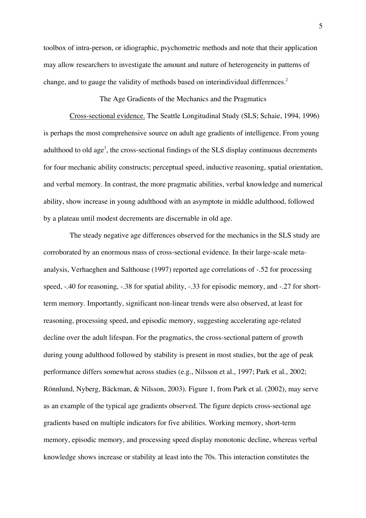toolbox of intra-person, or idiographic, psychometric methods and note that their application may allow researchers to investigate the amount and nature of heterogeneity in patterns of change, and to gauge the validity of methods based on interindividual differences.<sup>2</sup>

The Age Gradients of the Mechanics and the Pragmatics

Cross-sectional evidence. The Seattle Longitudinal Study (SLS; Schaie, 1994, 1996) is perhaps the most comprehensive source on adult age gradients of intelligence. From young adulthood to old age<sup>3</sup>, the cross-sectional findings of the SLS display continuous decrements for four mechanic ability constructs; perceptual speed, inductive reasoning, spatial orientation, and verbal memory. In contrast, the more pragmatic abilities, verbal knowledge and numerical ability, show increase in young adulthood with an asymptote in middle adulthood, followed by a plateau until modest decrements are discernable in old age.

The steady negative age differences observed for the mechanics in the SLS study are corroborated by an enormous mass of cross-sectional evidence. In their large-scale metaanalysis, Verhaeghen and Salthouse (1997) reported age correlations of -.52 for processing speed, -.40 for reasoning, -.38 for spatial ability, -.33 for episodic memory, and -.27 for shortterm memory. Importantly, significant non-linear trends were also observed, at least for reasoning, processing speed, and episodic memory, suggesting accelerating age-related decline over the adult lifespan. For the pragmatics, the cross-sectional pattern of growth during young adulthood followed by stability is present in most studies, but the age of peak performance differs somewhat across studies (e.g., Nilsson et al., 1997; Park et al., 2002; Rönnlund, Nyberg, Bäckman, & Nilsson, 2003). Figure 1, from Park et al. (2002), may serve as an example of the typical age gradients observed. The figure depicts cross-sectional age gradients based on multiple indicators for five abilities. Working memory, short-term memory, episodic memory, and processing speed display monotonic decline, whereas verbal knowledge shows increase or stability at least into the 70s. This interaction constitutes the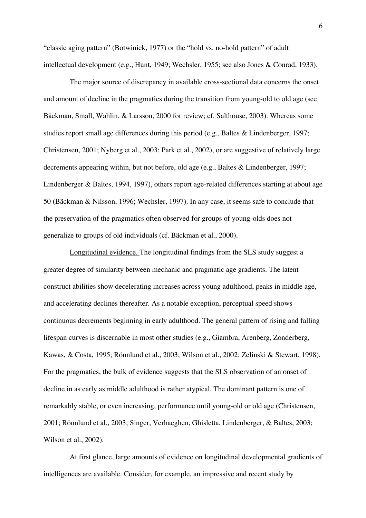"classic aging pattern" (Botwinick, 1977) or the "hold vs. no-hold pattern" of adult intellectual development (e.g., Hunt, 1949; Wechsler, 1955; see also Jones & Conrad, 1933).

The major source of discrepancy in available cross-sectional data concerns the onset and amount of decline in the pragmatics during the transition from young-old to old age (see Bäckman, Small, Wahlin, & Larsson, 2000 for review; cf. Salthouse, 2003). Whereas some studies report small age differences during this period (e.g., Baltes & Lindenberger, 1997; Christensen, 2001; Nyberg et al., 2003; Park et al., 2002), or are suggestive of relatively large decrements appearing within, but not before, old age (e.g., Baltes & Lindenberger, 1997; Lindenberger & Baltes, 1994, 1997), others report age-related differences starting at about age 50 (Bäckman & Nilsson, 1996; Wechsler, 1997). In any case, it seems safe to conclude that the preservation of the pragmatics often observed for groups of young-olds does not generalize to groups of old individuals (cf. Bäckman et al., 2000).

Longitudinal evidence. The longitudinal findings from the SLS study suggest a greater degree of similarity between mechanic and pragmatic age gradients. The latent construct abilities show decelerating increases across young adulthood, peaks in middle age, and accelerating declines thereafter. As a notable exception, perceptual speed shows continuous decrements beginning in early adulthood. The general pattern of rising and falling lifespan curves is discernable in most other studies (e.g., Giambra, Arenberg, Zonderberg, Kawas, & Costa, 1995; Rönnlund et al., 2003; Wilson et al., 2002; Zelinski & Stewart, 1998). For the pragmatics, the bulk of evidence suggests that the SLS observation of an onset of decline in as early as middle adulthood is rather atypical. The dominant pattern is one of remarkably stable, or even increasing, performance until young-old or old age (Christensen, 2001; Rönnlund et al., 2003; Singer, Verhaeghen, Ghisletta, Lindenberger, & Baltes, 2003; Wilson et al., 2002).

At first glance, large amounts of evidence on longitudinal developmental gradients of intelligences are available. Consider, for example, an impressive and recent study by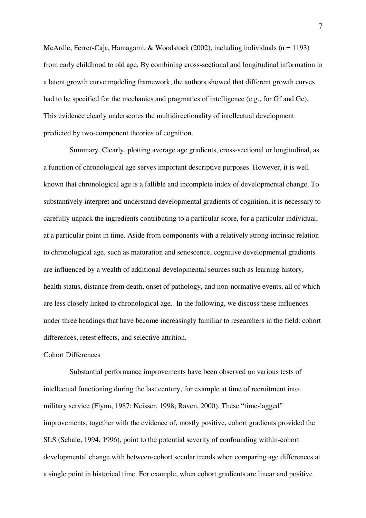McArdle, Ferrer-Caja, Hamagami, & Woodstock (2002), including individuals ( $n = 1193$ ) from early childhood to old age. By combining cross-sectional and longitudinal information in a latent growth curve modeling framework, the authors showed that different growth curves had to be specified for the mechanics and pragmatics of intelligence (e.g., for Gf and Gc). This evidence clearly underscores the multidirectionality of intellectual development predicted by two-component theories of cognition.

Summary. Clearly, plotting average age gradients, cross-sectional or longitudinal, as a function of chronological age serves important descriptive purposes. However, it is well known that chronological age is a fallible and incomplete index of developmental change. To substantively interpret and understand developmental gradients of cognition, it is necessary to carefully unpack the ingredients contributing to a particular score, for a particular individual, at a particular point in time. Aside from components with a relatively strong intrinsic relation to chronological age, such as maturation and senescence, cognitive developmental gradients are influenced by a wealth of additional developmental sources such as learning history, health status, distance from death, onset of pathology, and non-normative events, all of which are less closely linked to chronological age. In the following, we discuss these influences under three headings that have become increasingly familiar to researchers in the field: cohort differences, retest effects, and selective attrition.

#### Cohort Differences

Substantial performance improvements have been observed on various tests of intellectual functioning during the last century, for example at time of recruitment into military service (Flynn, 1987; Neisser, 1998; Raven, 2000). These "time-lagged" improvements, together with the evidence of, mostly positive, cohort gradients provided the SLS (Schaie, 1994, 1996), point to the potential severity of confounding within-cohort developmental change with between-cohort secular trends when comparing age differences at a single point in historical time. For example, when cohort gradients are linear and positive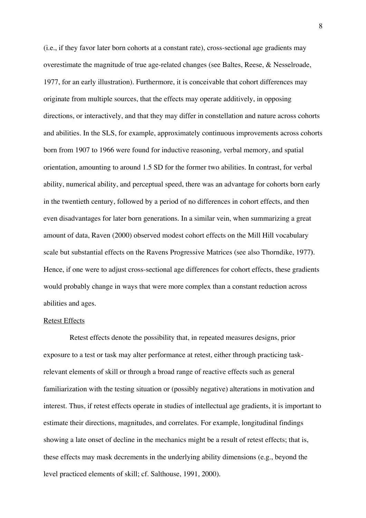(i.e., if they favor later born cohorts at a constant rate), cross-sectional age gradients may overestimate the magnitude of true age-related changes (see Baltes, Reese, & Nesselroade, 1977, for an early illustration). Furthermore, it is conceivable that cohort differences may originate from multiple sources, that the effects may operate additively, in opposing directions, or interactively, and that they may differ in constellation and nature across cohorts and abilities. In the SLS, for example, approximately continuous improvements across cohorts born from 1907 to 1966 were found for inductive reasoning, verbal memory, and spatial orientation, amounting to around 1.5 SD for the former two abilities. In contrast, for verbal ability, numerical ability, and perceptual speed, there was an advantage for cohorts born early in the twentieth century, followed by a period of no differences in cohort effects, and then even disadvantages for later born generations. In a similar vein, when summarizing a great amount of data, Raven (2000) observed modest cohort effects on the Mill Hill vocabulary scale but substantial effects on the Ravens Progressive Matrices (see also Thorndike, 1977**)**. Hence, if one were to adjust cross-sectional age differences for cohort effects, these gradients would probably change in ways that were more complex than a constant reduction across abilities and ages.

# Retest Effects

Retest effects denote the possibility that, in repeated measures designs, prior exposure to a test or task may alter performance at retest, either through practicing taskrelevant elements of skill or through a broad range of reactive effects such as general familiarization with the testing situation or (possibly negative) alterations in motivation and interest. Thus, if retest effects operate in studies of intellectual age gradients, it is important to estimate their directions, magnitudes, and correlates. For example, longitudinal findings showing a late onset of decline in the mechanics might be a result of retest effects; that is, these effects may mask decrements in the underlying ability dimensions (e.g., beyond the level practiced elements of skill; cf. Salthouse, 1991, 2000).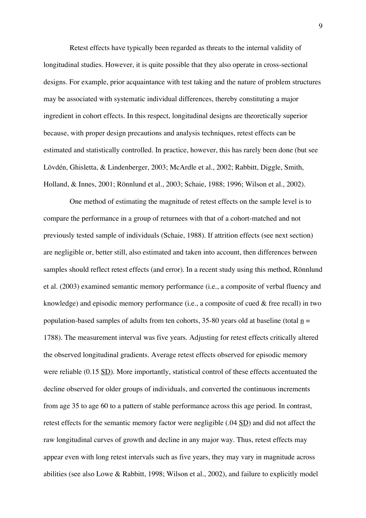Retest effects have typically been regarded as threats to the internal validity of longitudinal studies. However, it is quite possible that they also operate in cross-sectional designs. For example, prior acquaintance with test taking and the nature of problem structures may be associated with systematic individual differences, thereby constituting a major ingredient in cohort effects. In this respect, longitudinal designs are theoretically superior because, with proper design precautions and analysis techniques, retest effects can be estimated and statistically controlled. In practice, however, this has rarely been done (but see Lövdén, Ghisletta, & Lindenberger, 2003; McArdle et al., 2002; Rabbitt, Diggle, Smith, Holland, & Innes, 2001; Rönnlund et al., 2003; Schaie, 1988; 1996; Wilson et al., 2002).

One method of estimating the magnitude of retest effects on the sample level is to compare the performance in a group of returnees with that of a cohort-matched and not previously tested sample of individuals (Schaie, 1988). If attrition effects (see next section) are negligible or, better still, also estimated and taken into account, then differences between samples should reflect retest effects (and error). In a recent study using this method, Rönnlund et al. (2003) examined semantic memory performance (i.e., a composite of verbal fluency and knowledge) and episodic memory performance (i.e., a composite of cued & free recall) in two population-based samples of adults from ten cohorts, 35-80 years old at baseline (total  $n =$ 1788). The measurement interval was five years. Adjusting for retest effects critically altered the observed longitudinal gradients. Average retest effects observed for episodic memory were reliable (0.15 <u>SD</u>). More importantly, statistical control of these effects accentuated the decline observed for older groups of individuals, and converted the continuous increments from age 35 to age 60 to a pattern of stable performance across this age period. In contrast, retest effects for the semantic memory factor were negligible (.04 SD) and did not affect the raw longitudinal curves of growth and decline in any major way. Thus, retest effects may appear even with long retest intervals such as five years, they may vary in magnitude across abilities (see also Lowe & Rabbitt, 1998; Wilson et al., 2002), and failure to explicitly model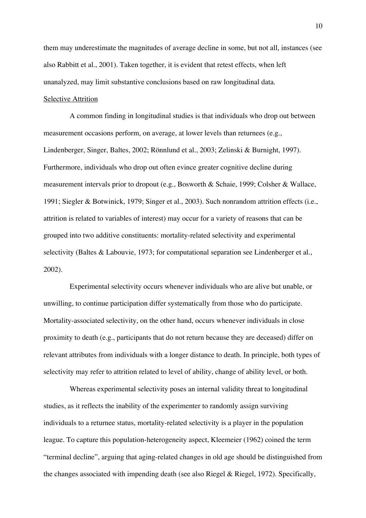them may underestimate the magnitudes of average decline in some, but not all, instances (see also Rabbitt et al., 2001). Taken together, it is evident that retest effects, when left unanalyzed, may limit substantive conclusions based on raw longitudinal data.

# Selective Attrition

A common finding in longitudinal studies is that individuals who drop out between measurement occasions perform, on average, at lower levels than returnees (e.g., Lindenberger, Singer, Baltes, 2002; Rönnlund et al., 2003; Zelinski & Burnight, 1997). Furthermore, individuals who drop out often evince greater cognitive decline during measurement intervals prior to dropout (e.g., Bosworth & Schaie, 1999; Colsher & Wallace, 1991; Siegler & Botwinick, 1979; Singer et al., 2003). Such nonrandom attrition effects (i.e., attrition is related to variables of interest) may occur for a variety of reasons that can be grouped into two additive constituents: mortality-related selectivity and experimental selectivity (Baltes & Labouvie, 1973; for computational separation see Lindenberger et al., 2002).

Experimental selectivity occurs whenever individuals who are alive but unable, or unwilling, to continue participation differ systematically from those who do participate. Mortality-associated selectivity, on the other hand, occurs whenever individuals in close proximity to death (e.g., participants that do not return because they are deceased) differ on relevant attributes from individuals with a longer distance to death. In principle, both types of selectivity may refer to attrition related to level of ability, change of ability level, or both.

Whereas experimental selectivity poses an internal validity threat to longitudinal studies, as it reflects the inability of the experimenter to randomly assign surviving individuals to a returnee status, mortality-related selectivity is a player in the population league. To capture this population-heterogeneity aspect, Kleemeier (1962) coined the term "terminal decline", arguing that aging-related changes in old age should be distinguished from the changes associated with impending death (see also Riegel & Riegel, 1972). Specifically,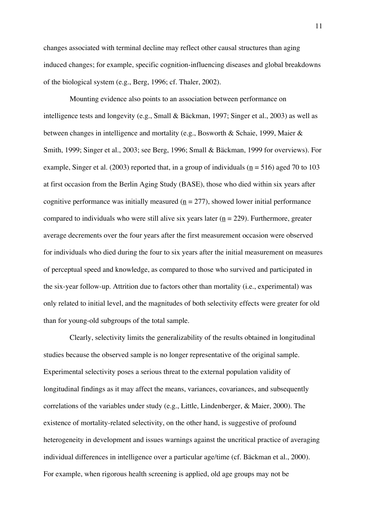changes associated with terminal decline may reflect other causal structures than aging induced changes; for example, specific cognition-influencing diseases and global breakdowns of the biological system (e.g., Berg, 1996; cf. Thaler, 2002).

Mounting evidence also points to an association between performance on intelligence tests and longevity (e.g., Small & Bäckman, 1997; Singer et al., 2003) as well as between changes in intelligence and mortality (e.g., Bosworth & Schaie, 1999, Maier & Smith, 1999; Singer et al., 2003; see Berg, 1996; Small & Bäckman, 1999 for overviews). For example, Singer et al. (2003) reported that, in a group of individuals ( $n = 516$ ) aged 70 to 103 at first occasion from the Berlin Aging Study (BASE), those who died within six years after cognitive performance was initially measured ( $n = 277$ ), showed lower initial performance compared to individuals who were still alive six years later ( $n = 229$ ). Furthermore, greater average decrements over the four years after the first measurement occasion were observed for individuals who died during the four to six years after the initial measurement on measures of perceptual speed and knowledge, as compared to those who survived and participated in the six-year follow-up. Attrition due to factors other than mortality (i.e., experimental) was only related to initial level, and the magnitudes of both selectivity effects were greater for old than for young-old subgroups of the total sample.

Clearly, selectivity limits the generalizability of the results obtained in longitudinal studies because the observed sample is no longer representative of the original sample. Experimental selectivity poses a serious threat to the external population validity of longitudinal findings as it may affect the means, variances, covariances, and subsequently correlations of the variables under study (e.g., Little, Lindenberger, & Maier, 2000). The existence of mortality-related selectivity, on the other hand, is suggestive of profound heterogeneity in development and issues warnings against the uncritical practice of averaging individual differences in intelligence over a particular age/time (cf. Bäckman et al., 2000). For example, when rigorous health screening is applied, old age groups may not be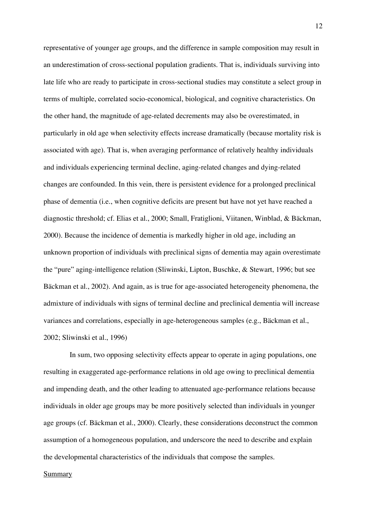representative of younger age groups, and the difference in sample composition may result in an underestimation of cross-sectional population gradients. That is, individuals surviving into late life who are ready to participate in cross-sectional studies may constitute a select group in terms of multiple, correlated socio-economical, biological, and cognitive characteristics. On the other hand, the magnitude of age-related decrements may also be overestimated, in particularly in old age when selectivity effects increase dramatically (because mortality risk is associated with age). That is, when averaging performance of relatively healthy individuals and individuals experiencing terminal decline, aging-related changes and dying-related changes are confounded. In this vein, there is persistent evidence for a prolonged preclinical phase of dementia (i.e., when cognitive deficits are present but have not yet have reached a diagnostic threshold; cf. Elias et al., 2000; Small, Fratiglioni, Viitanen, Winblad, & Bäckman, 2000). Because the incidence of dementia is markedly higher in old age, including an unknown proportion of individuals with preclinical signs of dementia may again overestimate the "pure" aging-intelligence relation (Sliwinski, Lipton, Buschke, & Stewart, 1996; but see Bäckman et al., 2002). And again, as is true for age-associated heterogeneity phenomena, the admixture of individuals with signs of terminal decline and preclinical dementia will increase variances and correlations, especially in age-heterogeneous samples (e.g., Bäckman et al., 2002; Sliwinski et al., 1996)

In sum, two opposing selectivity effects appear to operate in aging populations, one resulting in exaggerated age-performance relations in old age owing to preclinical dementia and impending death, and the other leading to attenuated age-performance relations because individuals in older age groups may be more positively selected than individuals in younger age groups (cf. Bäckman et al., 2000). Clearly, these considerations deconstruct the common assumption of a homogeneous population, and underscore the need to describe and explain the developmental characteristics of the individuals that compose the samples.

# **Summary**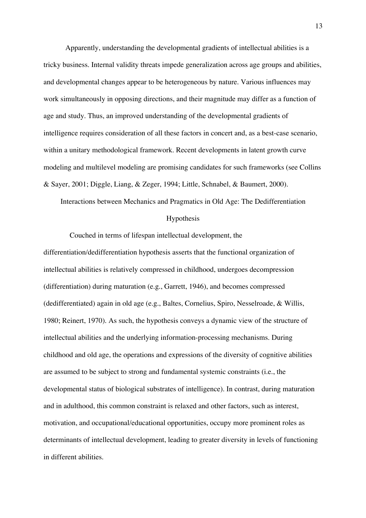Apparently, understanding the developmental gradients of intellectual abilities is a tricky business. Internal validity threats impede generalization across age groups and abilities, and developmental changes appear to be heterogeneous by nature. Various influences may work simultaneously in opposing directions, and their magnitude may differ as a function of age and study. Thus, an improved understanding of the developmental gradients of intelligence requires consideration of all these factors in concert and, as a best-case scenario, within a unitary methodological framework. Recent developments in latent growth curve modeling and multilevel modeling are promising candidates for such frameworks (see Collins & Sayer, 2001; Diggle, Liang, & Zeger, 1994; Little, Schnabel, & Baumert, 2000).

Interactions between Mechanics and Pragmatics in Old Age: The Dedifferentiation

### Hypothesis

Couched in terms of lifespan intellectual development, the differentiation/dedifferentiation hypothesis asserts that the functional organization of intellectual abilities is relatively compressed in childhood, undergoes decompression (differentiation) during maturation (e.g., Garrett, 1946), and becomes compressed (dedifferentiated) again in old age (e.g., Baltes, Cornelius, Spiro, Nesselroade, & Willis, 1980; Reinert, 1970). As such, the hypothesis conveys a dynamic view of the structure of intellectual abilities and the underlying information-processing mechanisms. During childhood and old age, the operations and expressions of the diversity of cognitive abilities are assumed to be subject to strong and fundamental systemic constraints (i.e., the developmental status of biological substrates of intelligence). In contrast, during maturation and in adulthood, this common constraint is relaxed and other factors, such as interest, motivation, and occupational/educational opportunities, occupy more prominent roles as determinants of intellectual development, leading to greater diversity in levels of functioning in different abilities.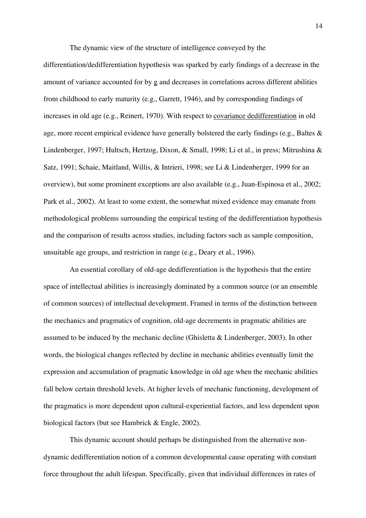The dynamic view of the structure of intelligence conveyed by the

differentiation/dedifferentiation hypothesis was sparked by early findings of a decrease in the amount of variance accounted for by g and decreases in correlations across different abilities from childhood to early maturity (e.g., Garrett, 1946), and by corresponding findings of increases in old age (e.g., Reinert, 1970). With respect to covariance dedifferentiation in old age, more recent empirical evidence have generally bolstered the early findings (e.g., Baltes & Lindenberger, 1997; Hultsch, Hertzog, Dixon, & Small, 1998; Li et al., in press; Mitrushina & Satz, 1991; Schaie, Maitland, Willis, & Intrieri, 1998; see Li & Lindenberger, 1999 for an overview), but some prominent exceptions are also available (e.g., Juan-Espinosa et al., 2002; Park et al., 2002). At least to some extent, the somewhat mixed evidence may emanate from methodological problems surrounding the empirical testing of the dedifferentiation hypothesis and the comparison of results across studies, including factors such as sample composition, unsuitable age groups, and restriction in range (e.g., Deary et al., 1996).

An essential corollary of old-age dedifferentiation is the hypothesis that the entire space of intellectual abilities is increasingly dominated by a common source (or an ensemble of common sources) of intellectual development. Framed in terms of the distinction between the mechanics and pragmatics of cognition, old-age decrements in pragmatic abilities are assumed to be induced by the mechanic decline (Ghisletta & Lindenberger, 2003). In other words, the biological changes reflected by decline in mechanic abilities eventually limit the expression and accumulation of pragmatic knowledge in old age when the mechanic abilities fall below certain threshold levels. At higher levels of mechanic functioning, development of the pragmatics is more dependent upon cultural-experiential factors, and less dependent upon biological factors (but see Hambrick & Engle, 2002).

This dynamic account should perhaps be distinguished from the alternative nondynamic dedifferentiation notion of a common developmental cause operating with constant force throughout the adult lifespan. Specifically, given that individual differences in rates of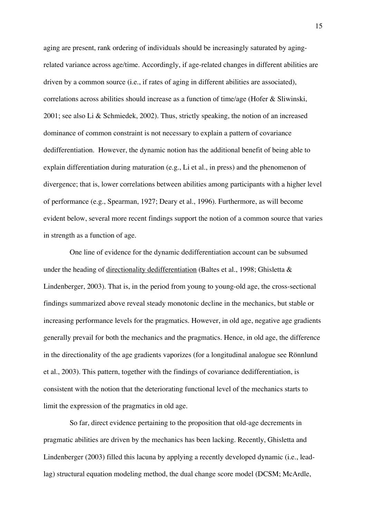aging are present, rank ordering of individuals should be increasingly saturated by agingrelated variance across age/time. Accordingly, if age-related changes in different abilities are driven by a common source (i.e., if rates of aging in different abilities are associated), correlations across abilities should increase as a function of time/age (Hofer & Sliwinski, 2001; see also Li & Schmiedek, 2002). Thus, strictly speaking, the notion of an increased dominance of common constraint is not necessary to explain a pattern of covariance dedifferentiation. However, the dynamic notion has the additional benefit of being able to explain differentiation during maturation (e.g., Li et al., in press) and the phenomenon of divergence; that is, lower correlations between abilities among participants with a higher level of performance (e.g., Spearman, 1927; Deary et al., 1996). Furthermore, as will become evident below, several more recent findings support the notion of a common source that varies in strength as a function of age.

One line of evidence for the dynamic dedifferentiation account can be subsumed under the heading of directionality dedifferentiation (Baltes et al., 1998; Ghisletta & Lindenberger, 2003). That is, in the period from young to young-old age, the cross-sectional findings summarized above reveal steady monotonic decline in the mechanics, but stable or increasing performance levels for the pragmatics. However, in old age, negative age gradients generally prevail for both the mechanics and the pragmatics. Hence, in old age, the difference in the directionality of the age gradients vaporizes (for a longitudinal analogue see Rönnlund et al., 2003). This pattern, together with the findings of covariance dedifferentiation, is consistent with the notion that the deteriorating functional level of the mechanics starts to limit the expression of the pragmatics in old age.

So far, direct evidence pertaining to the proposition that old-age decrements in pragmatic abilities are driven by the mechanics has been lacking. Recently, Ghisletta and Lindenberger (2003) filled this lacuna by applying a recently developed dynamic (i.e., leadlag) structural equation modeling method, the dual change score model (DCSM; McArdle,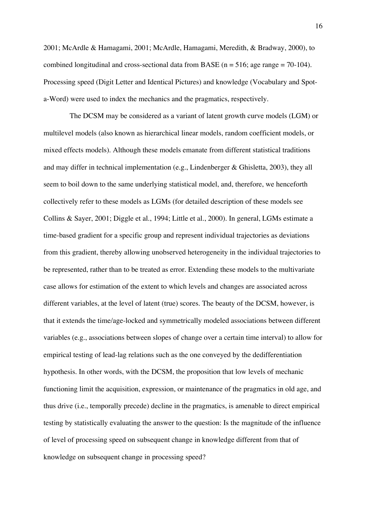2001; McArdle & Hamagami, 2001; McArdle, Hamagami, Meredith, & Bradway, 2000), to combined longitudinal and cross-sectional data from BASE ( $n = 516$ ; age range = 70-104). Processing speed (Digit Letter and Identical Pictures) and knowledge (Vocabulary and Spota-Word) were used to index the mechanics and the pragmatics, respectively.

The DCSM may be considered as a variant of latent growth curve models (LGM) or multilevel models (also known as hierarchical linear models, random coefficient models, or mixed effects models). Although these models emanate from different statistical traditions and may differ in technical implementation (e.g., Lindenberger & Ghisletta, 2003), they all seem to boil down to the same underlying statistical model, and, therefore, we henceforth collectively refer to these models as LGMs (for detailed description of these models see Collins & Sayer, 2001; Diggle et al., 1994; Little et al., 2000). In general, LGMs estimate a time-based gradient for a specific group and represent individual trajectories as deviations from this gradient, thereby allowing unobserved heterogeneity in the individual trajectories to be represented, rather than to be treated as error. Extending these models to the multivariate case allows for estimation of the extent to which levels and changes are associated across different variables, at the level of latent (true) scores. The beauty of the DCSM, however, is that it extends the time/age-locked and symmetrically modeled associations between different variables (e.g., associations between slopes of change over a certain time interval) to allow for empirical testing of lead-lag relations such as the one conveyed by the dedifferentiation hypothesis. In other words, with the DCSM, the proposition that low levels of mechanic functioning limit the acquisition, expression, or maintenance of the pragmatics in old age, and thus drive (i.e., temporally precede) decline in the pragmatics, is amenable to direct empirical testing by statistically evaluating the answer to the question: Is the magnitude of the influence of level of processing speed on subsequent change in knowledge different from that of knowledge on subsequent change in processing speed?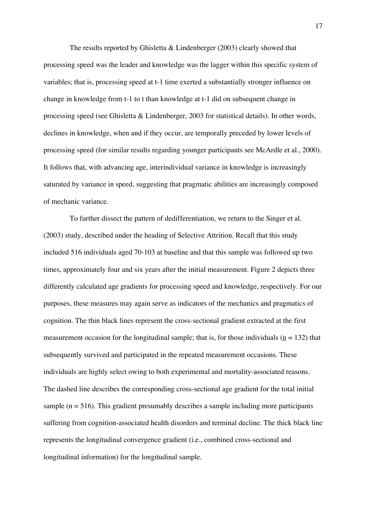The results reported by Ghisletta & Lindenberger (2003) clearly showed that processing speed was the leader and knowledge was the lagger within this specific system of variables; that is, processing speed at t-1 time exerted a substantially stronger influence on change in knowledge from t-1 to t than knowledge at t-1 did on subsequent change in processing speed (see Ghisletta & Lindenberger, 2003 for statistical details). In other words, declines in knowledge, when and if they occur, are temporally preceded by lower levels of processing speed (for similar results regarding younger participants see McArdle et al., 2000). It follows that, with advancing age, interindividual variance in knowledge is increasingly saturated by variance in speed, suggesting that pragmatic abilities are increasingly composed of mechanic variance.

To further dissect the pattern of dedifferentiation, we return to the Singer et al. (2003) study, described under the heading of Selective Attrition. Recall that this study included 516 individuals aged 70-103 at baseline and that this sample was followed up two times, approximately four and six years after the initial measurement. Figure 2 depicts three differently calculated age gradients for processing speed and knowledge, respectively. For our purposes, these measures may again serve as indicators of the mechanics and pragmatics of cognition. The thin black lines represent the cross-sectional gradient extracted at the first measurement occasion for the longitudinal sample; that is, for those individuals ( $n = 132$ ) that subsequently survived and participated in the repeated measurement occasions. These individuals are highly select owing to both experimental and mortality-associated reasons. The dashed line describes the corresponding cross-sectional age gradient for the total initial sample ( $n = 516$ ). This gradient presumably describes a sample including more participants suffering from cognition-associated health disorders and terminal decline. The thick black line represents the longitudinal convergence gradient (i.e., combined cross-sectional and longitudinal information) for the longitudinal sample.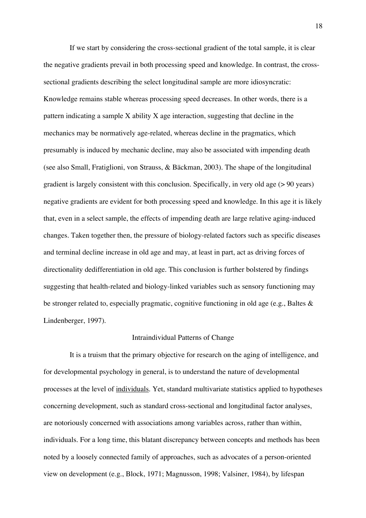If we start by considering the cross-sectional gradient of the total sample, it is clear the negative gradients prevail in both processing speed and knowledge. In contrast, the crosssectional gradients describing the select longitudinal sample are more idiosyncratic: Knowledge remains stable whereas processing speed decreases. In other words, there is a pattern indicating a sample X ability X age interaction, suggesting that decline in the mechanics may be normatively age-related, whereas decline in the pragmatics, which presumably is induced by mechanic decline, may also be associated with impending death (see also Small, Fratiglioni, von Strauss, & Bäckman, 2003). The shape of the longitudinal gradient is largely consistent with this conclusion. Specifically, in very old age (> 90 years) negative gradients are evident for both processing speed and knowledge. In this age it is likely that, even in a select sample, the effects of impending death are large relative aging-induced changes. Taken together then, the pressure of biology-related factors such as specific diseases and terminal decline increase in old age and may, at least in part, act as driving forces of directionality dedifferentiation in old age. This conclusion is further bolstered by findings suggesting that health-related and biology-linked variables such as sensory functioning may be stronger related to, especially pragmatic, cognitive functioning in old age (e.g., Baltes & Lindenberger, 1997).

#### Intraindividual Patterns of Change

It is a truism that the primary objective for research on the aging of intelligence, and for developmental psychology in general, is to understand the nature of developmental processes at the level of individuals. Yet, standard multivariate statistics applied to hypotheses concerning development, such as standard cross-sectional and longitudinal factor analyses, are notoriously concerned with associations among variables across, rather than within, individuals. For a long time, this blatant discrepancy between concepts and methods has been noted by a loosely connected family of approaches, such as advocates of a person-oriented view on development (e.g., Block, 1971; Magnusson, 1998; Valsiner, 1984), by lifespan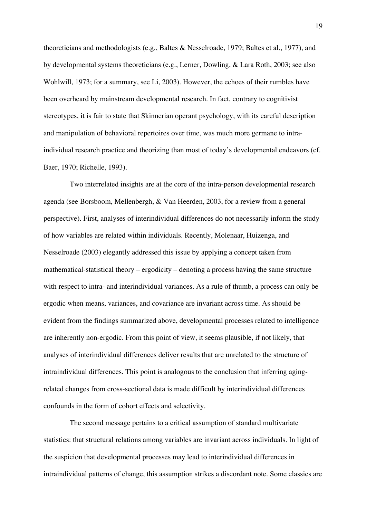theoreticians and methodologists (e.g., Baltes & Nesselroade, 1979; Baltes et al., 1977), and by developmental systems theoreticians (e.g., Lerner, Dowling, & Lara Roth, 2003; see also Wohlwill, 1973; for a summary, see Li, 2003). However, the echoes of their rumbles have been overheard by mainstream developmental research. In fact, contrary to cognitivist stereotypes, it is fair to state that Skinnerian operant psychology, with its careful description and manipulation of behavioral repertoires over time, was much more germane to intraindividual research practice and theorizing than most of today's developmental endeavors (cf. Baer, 1970; Richelle, 1993).

Two interrelated insights are at the core of the intra-person developmental research agenda (see Borsboom, Mellenbergh, & Van Heerden, 2003, for a review from a general perspective). First, analyses of interindividual differences do not necessarily inform the study of how variables are related within individuals. Recently, Molenaar, Huizenga, and Nesselroade (2003) elegantly addressed this issue by applying a concept taken from mathematical-statistical theory – ergodicity – denoting a process having the same structure with respect to intra- and interindividual variances. As a rule of thumb, a process can only be ergodic when means, variances, and covariance are invariant across time. As should be evident from the findings summarized above, developmental processes related to intelligence are inherently non-ergodic. From this point of view, it seems plausible, if not likely, that analyses of interindividual differences deliver results that are unrelated to the structure of intraindividual differences. This point is analogous to the conclusion that inferring agingrelated changes from cross-sectional data is made difficult by interindividual differences confounds in the form of cohort effects and selectivity.

The second message pertains to a critical assumption of standard multivariate statistics: that structural relations among variables are invariant across individuals. In light of the suspicion that developmental processes may lead to interindividual differences in intraindividual patterns of change, this assumption strikes a discordant note. Some classics are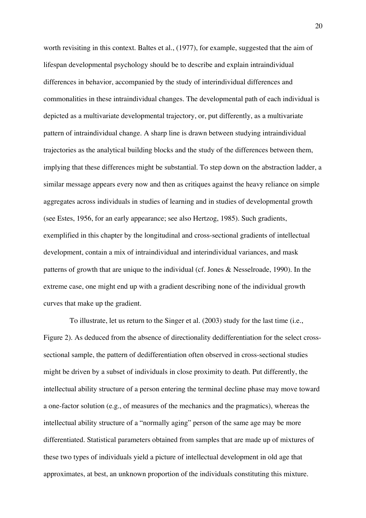worth revisiting in this context. Baltes et al., (1977), for example, suggested that the aim of lifespan developmental psychology should be to describe and explain intraindividual differences in behavior, accompanied by the study of interindividual differences and commonalities in these intraindividual changes. The developmental path of each individual is depicted as a multivariate developmental trajectory, or, put differently, as a multivariate pattern of intraindividual change. A sharp line is drawn between studying intraindividual trajectories as the analytical building blocks and the study of the differences between them, implying that these differences might be substantial. To step down on the abstraction ladder, a similar message appears every now and then as critiques against the heavy reliance on simple aggregates across individuals in studies of learning and in studies of developmental growth (see Estes, 1956, for an early appearance; see also Hertzog, 1985). Such gradients, exemplified in this chapter by the longitudinal and cross-sectional gradients of intellectual development, contain a mix of intraindividual and interindividual variances, and mask patterns of growth that are unique to the individual (cf. Jones & Nesselroade, 1990). In the extreme case, one might end up with a gradient describing none of the individual growth curves that make up the gradient.

To illustrate, let us return to the Singer et al. (2003) study for the last time (i.e., Figure 2). As deduced from the absence of directionality dedifferentiation for the select crosssectional sample, the pattern of dedifferentiation often observed in cross-sectional studies might be driven by a subset of individuals in close proximity to death. Put differently, the intellectual ability structure of a person entering the terminal decline phase may move toward a one-factor solution (e.g., of measures of the mechanics and the pragmatics), whereas the intellectual ability structure of a "normally aging" person of the same age may be more differentiated. Statistical parameters obtained from samples that are made up of mixtures of these two types of individuals yield a picture of intellectual development in old age that approximates, at best, an unknown proportion of the individuals constituting this mixture.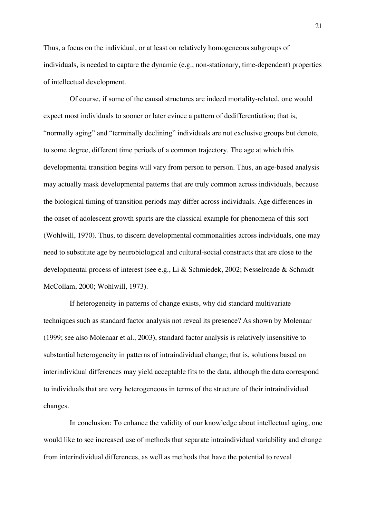Thus, a focus on the individual, or at least on relatively homogeneous subgroups of individuals, is needed to capture the dynamic (e.g., non-stationary, time-dependent) properties of intellectual development.

Of course, if some of the causal structures are indeed mortality-related, one would expect most individuals to sooner or later evince a pattern of dedifferentiation; that is, "normally aging" and "terminally declining" individuals are not exclusive groups but denote, to some degree, different time periods of a common trajectory. The age at which this developmental transition begins will vary from person to person. Thus, an age-based analysis may actually mask developmental patterns that are truly common across individuals, because the biological timing of transition periods may differ across individuals. Age differences in the onset of adolescent growth spurts are the classical example for phenomena of this sort (Wohlwill, 1970). Thus, to discern developmental commonalities across individuals, one may need to substitute age by neurobiological and cultural-social constructs that are close to the developmental process of interest (see e.g., Li & Schmiedek, 2002; Nesselroade & Schmidt McCollam, 2000; Wohlwill, 1973).

If heterogeneity in patterns of change exists, why did standard multivariate techniques such as standard factor analysis not reveal its presence? As shown by Molenaar (1999; see also Molenaar et al., 2003), standard factor analysis is relatively insensitive to substantial heterogeneity in patterns of intraindividual change; that is, solutions based on interindividual differences may yield acceptable fits to the data, although the data correspond to individuals that are very heterogeneous in terms of the structure of their intraindividual changes.

In conclusion: To enhance the validity of our knowledge about intellectual aging, one would like to see increased use of methods that separate intraindividual variability and change from interindividual differences, as well as methods that have the potential to reveal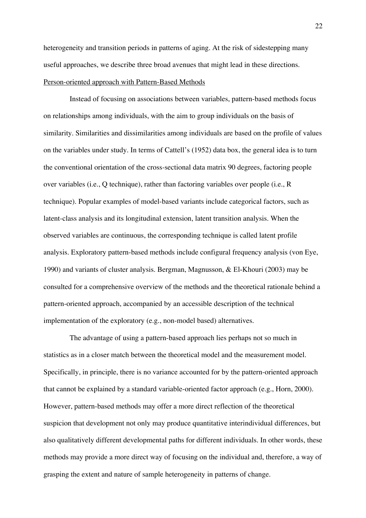heterogeneity and transition periods in patterns of aging. At the risk of sidestepping many useful approaches, we describe three broad avenues that might lead in these directions. Person-oriented approach with Pattern-Based Methods

Instead of focusing on associations between variables, pattern-based methods focus on relationships among individuals, with the aim to group individuals on the basis of similarity. Similarities and dissimilarities among individuals are based on the profile of values on the variables under study. In terms of Cattell's (1952) data box, the general idea is to turn the conventional orientation of the cross-sectional data matrix 90 degrees, factoring people over variables (i.e., Q technique), rather than factoring variables over people (i.e., R technique). Popular examples of model-based variants include categorical factors, such as latent-class analysis and its longitudinal extension, latent transition analysis. When the observed variables are continuous, the corresponding technique is called latent profile analysis. Exploratory pattern-based methods include configural frequency analysis (von Eye, 1990) and variants of cluster analysis. Bergman, Magnusson, & El-Khouri (2003) may be consulted for a comprehensive overview of the methods and the theoretical rationale behind a pattern-oriented approach, accompanied by an accessible description of the technical implementation of the exploratory (e.g., non-model based) alternatives.

The advantage of using a pattern-based approach lies perhaps not so much in statistics as in a closer match between the theoretical model and the measurement model. Specifically, in principle, there is no variance accounted for by the pattern-oriented approach that cannot be explained by a standard variable-oriented factor approach (e.g., Horn, 2000). However, pattern-based methods may offer a more direct reflection of the theoretical suspicion that development not only may produce quantitative interindividual differences, but also qualitatively different developmental paths for different individuals. In other words, these methods may provide a more direct way of focusing on the individual and, therefore, a way of grasping the extent and nature of sample heterogeneity in patterns of change.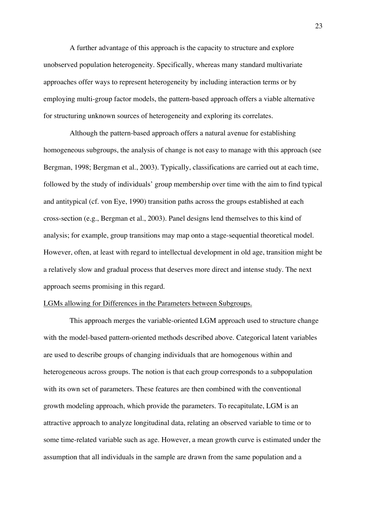A further advantage of this approach is the capacity to structure and explore unobserved population heterogeneity. Specifically, whereas many standard multivariate approaches offer ways to represent heterogeneity by including interaction terms or by employing multi-group factor models, the pattern-based approach offers a viable alternative for structuring unknown sources of heterogeneity and exploring its correlates.

Although the pattern-based approach offers a natural avenue for establishing homogeneous subgroups, the analysis of change is not easy to manage with this approach (see Bergman, 1998; Bergman et al., 2003). Typically, classifications are carried out at each time, followed by the study of individuals' group membership over time with the aim to find typical and antitypical (cf. von Eye, 1990) transition paths across the groups established at each cross-section (e.g., Bergman et al., 2003). Panel designs lend themselves to this kind of analysis; for example, group transitions may map onto a stage-sequential theoretical model. However, often, at least with regard to intellectual development in old age, transition might be a relatively slow and gradual process that deserves more direct and intense study. The next approach seems promising in this regard.

### LGMs allowing for Differences in the Parameters between Subgroups.

This approach merges the variable-oriented LGM approach used to structure change with the model-based pattern-oriented methods described above. Categorical latent variables are used to describe groups of changing individuals that are homogenous within and heterogeneous across groups. The notion is that each group corresponds to a subpopulation with its own set of parameters. These features are then combined with the conventional growth modeling approach, which provide the parameters. To recapitulate, LGM is an attractive approach to analyze longitudinal data, relating an observed variable to time or to some time-related variable such as age. However, a mean growth curve is estimated under the assumption that all individuals in the sample are drawn from the same population and a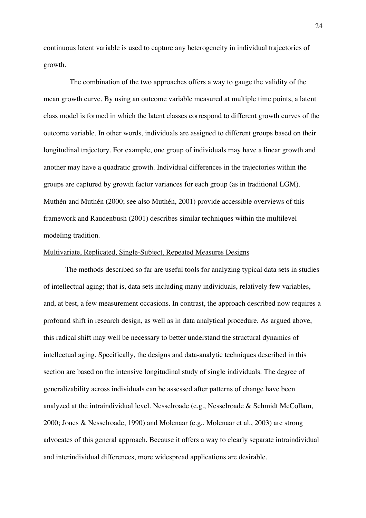continuous latent variable is used to capture any heterogeneity in individual trajectories of growth.

The combination of the two approaches offers a way to gauge the validity of the mean growth curve. By using an outcome variable measured at multiple time points, a latent class model is formed in which the latent classes correspond to different growth curves of the outcome variable. In other words, individuals are assigned to different groups based on their longitudinal trajectory. For example, one group of individuals may have a linear growth and another may have a quadratic growth. Individual differences in the trajectories within the groups are captured by growth factor variances for each group (as in traditional LGM). Muthén and Muthén (2000; see also Muthén, 2001) provide accessible overviews of this framework and Raudenbush (2001) describes similar techniques within the multilevel modeling tradition.

# Multivariate, Replicated, Single-Subject, Repeated Measures Designs

The methods described so far are useful tools for analyzing typical data sets in studies of intellectual aging; that is, data sets including many individuals, relatively few variables, and, at best, a few measurement occasions. In contrast, the approach described now requires a profound shift in research design, as well as in data analytical procedure. As argued above, this radical shift may well be necessary to better understand the structural dynamics of intellectual aging. Specifically, the designs and data-analytic techniques described in this section are based on the intensive longitudinal study of single individuals. The degree of generalizability across individuals can be assessed after patterns of change have been analyzed at the intraindividual level. Nesselroade (e.g., Nesselroade & Schmidt McCollam, 2000; Jones & Nesselroade, 1990) and Molenaar (e.g., Molenaar et al., 2003) are strong advocates of this general approach. Because it offers a way to clearly separate intraindividual and interindividual differences, more widespread applications are desirable.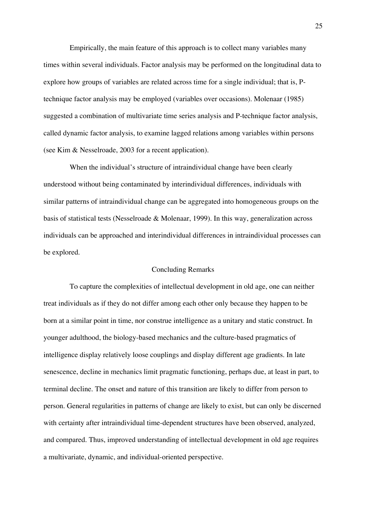Empirically, the main feature of this approach is to collect many variables many times within several individuals. Factor analysis may be performed on the longitudinal data to explore how groups of variables are related across time for a single individual; that is, Ptechnique factor analysis may be employed (variables over occasions). Molenaar (1985) suggested a combination of multivariate time series analysis and P-technique factor analysis, called dynamic factor analysis, to examine lagged relations among variables within persons (see Kim & Nesselroade, 2003 for a recent application).

When the individual's structure of intraindividual change have been clearly understood without being contaminated by interindividual differences, individuals with similar patterns of intraindividual change can be aggregated into homogeneous groups on the basis of statistical tests (Nesselroade & Molenaar, 1999). In this way, generalization across individuals can be approached and interindividual differences in intraindividual processes can be explored.

### Concluding Remarks

To capture the complexities of intellectual development in old age, one can neither treat individuals as if they do not differ among each other only because they happen to be born at a similar point in time, nor construe intelligence as a unitary and static construct. In younger adulthood, the biology-based mechanics and the culture-based pragmatics of intelligence display relatively loose couplings and display different age gradients. In late senescence, decline in mechanics limit pragmatic functioning, perhaps due, at least in part, to terminal decline. The onset and nature of this transition are likely to differ from person to person. General regularities in patterns of change are likely to exist, but can only be discerned with certainty after intraindividual time-dependent structures have been observed, analyzed, and compared. Thus, improved understanding of intellectual development in old age requires a multivariate, dynamic, and individual-oriented perspective.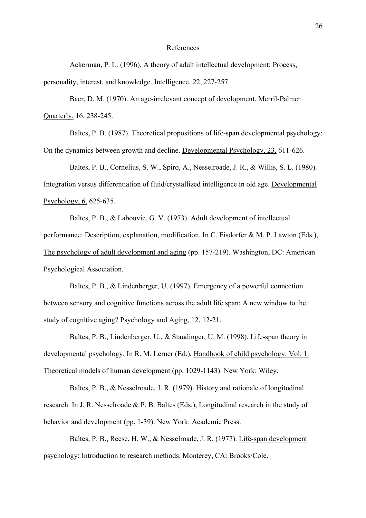### References

Ackerman, P. L. (1996). A theory of adult intellectual development: Process, personality, interest, and knowledge. Intelligence, 22, 227-257.

Baer, D. M. (1970). An age-irrelevant concept of development. Merril-Palmer Quarterly, 16, 238-245.

Baltes, P. B. (1987). Theoretical propositions of life-span developmental psychology: On the dynamics between growth and decline. Developmental Psychology, 23, 611-626.

Baltes, P. B., Cornelius, S. W., Spiro, A., Nesselroade, J. R., & Willis, S. L. (1980). Integration versus differentiation of fluid/crystallized intelligence in old age. Developmental Psychology, 6, 625-635.

Baltes, P. B., & Labouvie, G. V. (1973). Adult development of intellectual performance: Description, explanation, modification. In C. Eisdorfer & M. P. Lawton (Eds.), The psychology of adult development and aging (pp. 157-219). Washington, DC: American Psychological Association.

Baltes, P. B., & Lindenberger, U. (1997). Emergency of a powerful connection between sensory and cognitive functions across the adult life span: A new window to the study of cognitive aging? Psychology and Aging, 12, 12-21.

Baltes, P. B., Lindenberger, U., & Staudinger, U. M. (1998). Life-span theory in developmental psychology. In R. M. Lerner (Ed.), Handbook of child psychology: Vol. 1. Theoretical models of human development (pp. 1029-1143). New York: Wiley.

Baltes, P. B., & Nesselroade, J. R. (1979). History and rationale of longitudinal research. In J. R. Nesselroade & P. B. Baltes (Eds.), Longitudinal research in the study of behavior and development (pp. 1-39). New York: Academic Press.

Baltes, P. B., Reese, H. W., & Nesselroade, J. R. (1977). Life-span development psychology: Introduction to research methods. Monterey, CA: Brooks/Cole.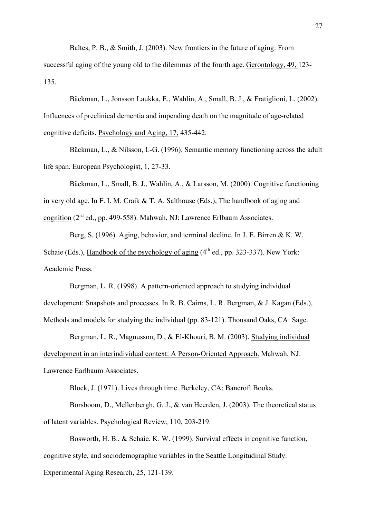Baltes, P. B., & Smith, J. (2003). New frontiers in the future of aging: From

successful aging of the young old to the dilemmas of the fourth age. Gerontology, 49, 123- 135.

Bäckman, L., Jonsson Laukka, E., Wahlin, A., Small, B. J., & Fratiglioni, L. (2002). Influences of preclinical dementia and impending death on the magnitude of age-related cognitive deficits. Psychology and Aging, 17, 435-442.

Bäckman, L., & Nilsson, L-G. (1996). Semantic memory functioning across the adult life span. European Psychologist, 1, 27-33.

Bäckman, L., Small, B. J., Wahlin, A., & Larsson, M. (2000). Cognitive functioning in very old age. In F. I. M. Craik & T. A. Salthouse (Eds.), The handbook of aging and cognition (2nd ed., pp. 499-558). Mahwah, NJ: Lawrence Erlbaum Associates.

Berg, S. (1996). Aging, behavior, and terminal decline. In J. E. Birren & K. W. Schaie (Eds.), Handbook of the psychology of aging (4<sup>th</sup> ed., pp. 323-337). New York: Academic Press.

Bergman, L. R. (1998). A pattern-oriented approach to studying individual development: Snapshots and processes. In R. B. Cairns, L. R. Bergman, & J. Kagan (Eds.), Methods and models for studying the individual (pp. 83-121). Thousand Oaks, CA: Sage.

Bergman, L. R., Magnusson, D., & El-Khouri, B. M. (2003). Studying individual development in an interindividual context: A Person-Oriented Approach. Mahwah, NJ: Lawrence Earlbaum Associates.

Block, J. (1971). Lives through time. Berkeley, CA: Bancroft Books.

Borsboom, D., Mellenbergh, G. J., & van Heerden, J. (2003). The theoretical status of latent variables. Psychological Review, 110, 203-219.

Bosworth, H. B., & Schaie, K. W. (1999). Survival effects in cognitive function, cognitive style, and sociodemographic variables in the Seattle Longitudinal Study.

Experimental Aging Research, 25, 121-139.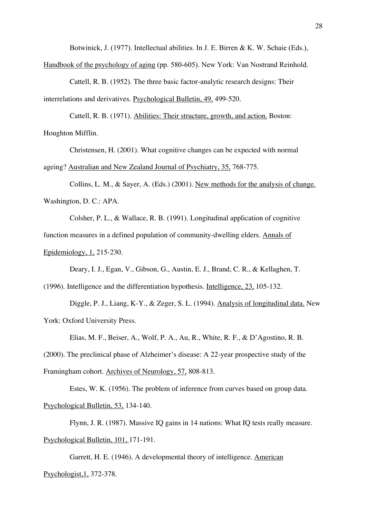Botwinick, J. (1977). Intellectual abilities. In J. E. Birren & K. W. Schaie (Eds.),

Handbook of the psychology of aging (pp. 580-605). New York: Van Nostrand Reinhold.

Cattell, R. B. (1952). The three basic factor-analytic research designs: Their interrelations and derivatives. Psychological Bulletin, 49, 499-520.

Cattell, R. B. (1971). Abilities: Their structure, growth, and action. Boston: Houghton Mifflin.

Christensen, H. (2001). What cognitive changes can be expected with normal ageing? Australian and New Zealand Journal of Psychiatry, 35, 768-775.

Collins, L. M., & Sayer, A. (Eds.) (2001). New methods for the analysis of change. Washington, D. C.: APA.

Colsher, P. L., & Wallace, R. B. (1991). Longitudinal application of cognitive function measures in a defined population of community-dwelling elders. Annals of Epidemiology, 1, 215-230.

Deary, I. J., Egan, V., Gibson, G., Austin, E. J., Brand, C. R., & Kellaghen, T.

(1996). Intelligence and the differentiation hypothesis. Intelligence, 23, 105-132.

Diggle, P. J., Liang, K-Y., & Zeger, S. L. (1994). Analysis of longitudinal data. New York: Oxford University Press.

Elias, M. F., Beiser, A., Wolf, P. A., Au, R., White, R. F., & D'Agostino, R. B.

(2000). The preclinical phase of Alzheimer's disease: A 22-year prospective study of the

Framingham cohort. Archives of Neurology, 57, 808-813.

Estes, W. K. (1956). The problem of inference from curves based on group data.

Psychological Bulletin, 53, 134-140.

Flynn, J. R. (1987). Massive IQ gains in 14 nations: What IQ tests really measure. Psychological Bulletin, 101, 171-191.

Garrett, H. E. (1946). A developmental theory of intelligence. American Psychologist,1, 372-378.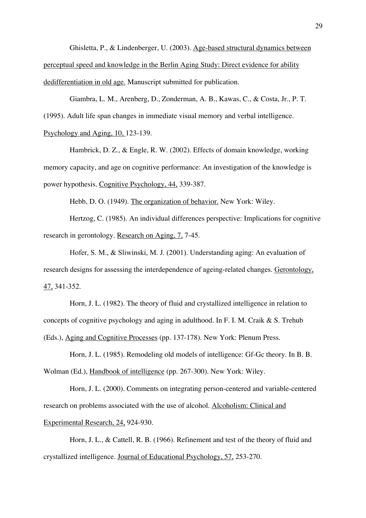Ghisletta, P., & Lindenberger, U. (2003). Age-based structural dynamics between perceptual speed and knowledge in the Berlin Aging Study: Direct evidence for ability dedifferentiation in old age. Manuscript submitted for publication.

Giambra, L. M., Arenberg, D., Zonderman, A. B., Kawas, C., & Costa, Jr., P. T. (1995). Adult life span changes in immediate visual memory and verbal intelligence. Psychology and Aging, 10, 123-139.

Hambrick, D. Z., & Engle, R. W. (2002). Effects of domain knowledge, working memory capacity, and age on cognitive performance: An investigation of the knowledge is power hypothesis. Cognitive Psychology, 44, 339-387.

Hebb, D. O. (1949). The organization of behavior. New York: Wiley.

Hertzog, C. (1985). An individual differences perspective: Implications for cognitive research in gerontology. Research on Aging, 7, 7-45.

Hofer, S. M., & Sliwinski, M. J. (2001). Understanding aging: An evaluation of research designs for assessing the interdependence of ageing-related changes. Gerontology, 47, 341-352.

Horn, J. L. (1982). The theory of fluid and crystallized intelligence in relation to concepts of cognitive psychology and aging in adulthood. In F. I. M. Craik & S. Trehub (Eds.), Aging and Cognitive Processes (pp. 137-178). New York: Plenum Press.

Horn, J. L. (1985). Remodeling old models of intelligence: Gf-Gc theory. In B. B. Wolman (Ed.), Handbook of intelligence (pp. 267-300). New York: Wiley.

Horn, J. L. (2000). Comments on integrating person-centered and variable-centered research on problems associated with the use of alcohol. Alcoholism: Clinical and Experimental Research, 24, 924-930.

Horn, J. L., & Cattell, R. B. (1966). Refinement and test of the theory of fluid and crystallized intelligence. Journal of Educational Psychology, 57, 253-270.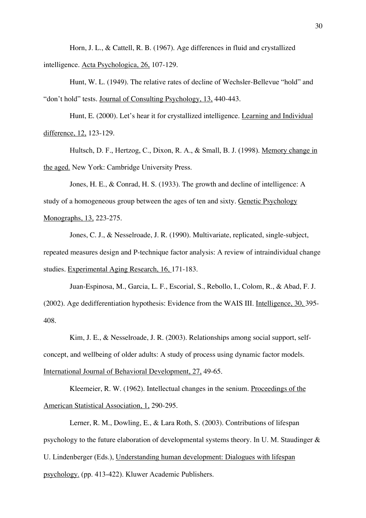Horn, J. L., & Cattell, R. B. (1967). Age differences in fluid and crystallized intelligence. Acta Psychologica, 26, 107-129.

Hunt, W. L. (1949). The relative rates of decline of Wechsler-Bellevue "hold" and "don't hold" tests. Journal of Consulting Psychology, 13, 440-443.

Hunt, E. (2000). Let's hear it for crystallized intelligence. Learning and Individual difference, 12, 123-129.

Hultsch, D. F., Hertzog, C., Dixon, R. A., & Small, B. J. (1998). Memory change in the aged. New York: Cambridge University Press.

Jones, H. E., & Conrad, H. S. (1933). The growth and decline of intelligence: A study of a homogeneous group between the ages of ten and sixty. Genetic Psychology Monographs, 13, 223-275.

Jones, C. J., & Nesselroade, J. R. (1990). Multivariate, replicated, single-subject, repeated measures design and P-technique factor analysis: A review of intraindividual change studies. Experimental Aging Research, 16, 171-183.

Juan-Espinosa, M., Garcia, L. F., Escorial, S., Rebollo, I., Colom, R., & Abad, F. J. (2002). Age dedifferentiation hypothesis: Evidence from the WAIS III. Intelligence, 30, 395- 408.

Kim, J. E., & Nesselroade, J. R. (2003). Relationships among social support, selfconcept, and wellbeing of older adults: A study of process using dynamic factor models. International Journal of Behavioral Development, 27, 49-65.

Kleemeier, R. W. (1962). Intellectual changes in the senium. Proceedings of the American Statistical Association, 1, 290-295.

Lerner, R. M., Dowling, E., & Lara Roth, S. (2003). Contributions of lifespan psychology to the future elaboration of developmental systems theory. In U. M. Staudinger & U. Lindenberger (Eds.), Understanding human development: Dialogues with lifespan psychology. (pp. 413-422). Kluwer Academic Publishers.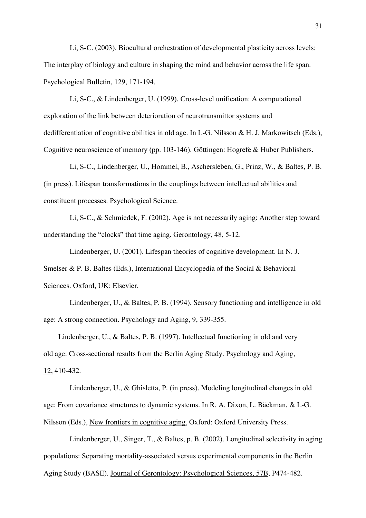Li, S-C. (2003). Biocultural orchestration of developmental plasticity across levels: The interplay of biology and culture in shaping the mind and behavior across the life span. Psychological Bulletin, 129, 171-194.

Li, S-C., & Lindenberger, U. (1999). Cross-level unification: A computational exploration of the link between deterioration of neurotransmittor systems and dedifferentiation of cognitive abilities in old age. In L-G. Nilsson & H. J. Markowitsch (Eds.), Cognitive neuroscience of memory (pp. 103-146). Göttingen: Hogrefe & Huber Publishers.

Li, S-C., Lindenberger, U., Hommel, B., Aschersleben, G., Prinz, W., & Baltes, P. B. (in press). Lifespan transformations in the couplings between intellectual abilities and constituent processes. Psychological Science.

Li, S-C., & Schmiedek, F. (2002). Age is not necessarily aging: Another step toward understanding the "clocks" that time aging. Gerontology, 48, 5-12.

Lindenberger, U. (2001). Lifespan theories of cognitive development. In N. J. Smelser & P. B. Baltes (Eds.), International Encyclopedia of the Social & Behavioral Sciences. Oxford, UK: Elsevier.

Lindenberger, U., & Baltes, P. B. (1994). Sensory functioning and intelligence in old age: A strong connection. Psychology and Aging, 9, 339-355.

 Lindenberger, U., & Baltes, P. B. (1997). Intellectual functioning in old and very old age: Cross-sectional results from the Berlin Aging Study. Psychology and Aging, 12, 410-432.

Lindenberger, U., & Ghisletta, P. (in press). Modeling longitudinal changes in old age: From covariance structures to dynamic systems. In R. A. Dixon, L. Bäckman, & L-G. Nilsson (Eds.), New frontiers in cognitive aging. Oxford: Oxford University Press.

Lindenberger, U., Singer, T., & Baltes, p. B. (2002). Longitudinal selectivity in aging populations: Separating mortality-associated versus experimental components in the Berlin Aging Study (BASE). Journal of Gerontology: Psychological Sciences, 57B, P474-482.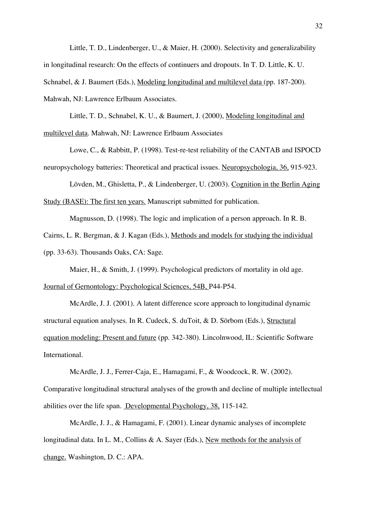Little, T. D., Lindenberger, U., & Maier, H. (2000). Selectivity and generalizability in longitudinal research: On the effects of continuers and dropouts. In T. D. Little, K. U. Schnabel, & J. Baumert (Eds.), Modeling longitudinal and multilevel data (pp. 187-200). Mahwah, NJ: Lawrence Erlbaum Associates.

Little, T. D., Schnabel, K. U., & Baumert, J. (2000), Modeling longitudinal and multilevel data. Mahwah, NJ: Lawrence Erlbaum Associates

Lowe, C., & Rabbitt, P. (1998). Test-re-test reliability of the CANTAB and ISPOCD neuropsychology batteries: Theoretical and practical issues. Neuropsychologia, 36, 915-923.

Lövden, M., Ghisletta, P., & Lindenberger, U. (2003). Cognition in the Berlin Aging Study (BASE): The first ten years. Manuscript submitted for publication.

Magnusson, D. (1998). The logic and implication of a person approach. In R. B.

Cairns, L. R. Bergman, & J. Kagan (Eds.), Methods and models for studying the individual (pp. 33-63). Thousands Oaks, CA: Sage.

Maier, H., & Smith, J. (1999). Psychological predictors of mortality in old age. Journal of Gernontology: Psychological Sciences, 54B, P44-P54.

McArdle, J. J. (2001). A latent difference score approach to longitudinal dynamic structural equation analyses. In R. Cudeck, S. duToit, & D. Sörbom (Eds.), Structural equation modeling: Present and future (pp. 342-380). Lincolnwood, IL: Scientific Software International.

McArdle, J. J., Ferrer-Caja, E., Hamagami, F., & Woodcock, R. W. (2002). Comparative longitudinal structural analyses of the growth and decline of multiple intellectual abilities over the life span. Developmental Psychology, 38, 115-142.

McArdle, J. J., & Hamagami, F. (2001). Linear dynamic analyses of incomplete longitudinal data. In L. M., Collins & A. Sayer (Eds.), New methods for the analysis of change. Washington, D. C.: APA.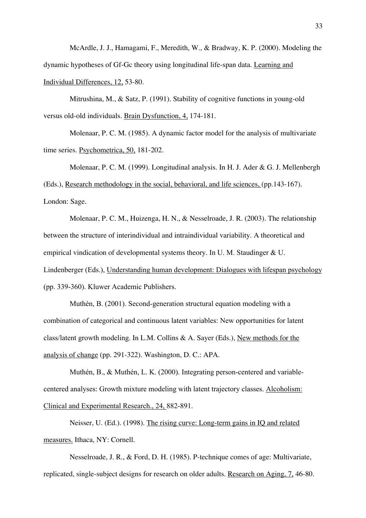McArdle, J. J., Hamagami, F., Meredith, W., & Bradway, K. P. (2000). Modeling the dynamic hypotheses of Gf-Gc theory using longitudinal life-span data. Learning and Individual Differences, 12, 53-80.

Mitrushina, M., & Satz, P. (1991). Stability of cognitive functions in young-old versus old-old individuals. Brain Dysfunction, 4, 174-181.

Molenaar, P. C. M. (1985). A dynamic factor model for the analysis of multivariate time series. Psychometrica, 50, 181-202.

Molenaar, P. C. M. (1999). Longitudinal analysis. In H. J. Ader & G. J. Mellenbergh (Eds.), Research methodology in the social, behavioral, and life sciences, (pp.143-167). London: Sage.

Molenaar, P. C. M., Huizenga, H. N., & Nesselroade, J. R. (2003). The relationship between the structure of interindividual and intraindividual variability. A theoretical and empirical vindication of developmental systems theory. In U. M. Staudinger & U. Lindenberger (Eds.), Understanding human development: Dialogues with lifespan psychology (pp. 339-360). Kluwer Academic Publishers.

Muthén, B. (2001). Second-generation structural equation modeling with a combination of categorical and continuous latent variables: New opportunities for latent class/latent growth modeling. In L.M. Collins & A. Sayer (Eds.), New methods for the analysis of change (pp. 291-322). Washington, D. C.: APA.

Muthén, B., & Muthén, L. K. (2000). Integrating person-centered and variablecentered analyses: Growth mixture modeling with latent trajectory classes. Alcoholism: Clinical and Experimental Research., 24, 882-891.

Neisser, U. (Ed.). (1998). The rising curve: Long-term gains in IQ and related measures. Ithaca, NY: Cornell.

Nesselroade, J. R., & Ford, D. H. (1985). P-technique comes of age: Multivariate, replicated, single-subject designs for research on older adults. Research on Aging, 7, 46-80.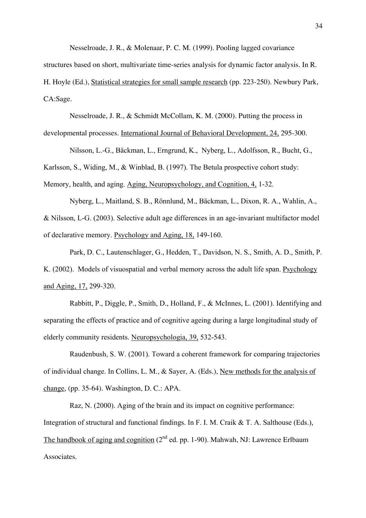Nesselroade, J. R., & Molenaar, P. C. M. (1999). Pooling lagged covariance

structures based on short, multivariate time-series analysis for dynamic factor analysis. In R. H. Hoyle (Ed.), Statistical strategies for small sample research (pp. 223-250). Newbury Park, CA:Sage.

Nesselroade, J. R., & Schmidt McCollam, K. M. (2000). Putting the process in developmental processes. International Journal of Behavioral Development, 24, 295-300.

Nilsson, L.-G., Bäckman, L., Erngrund, K., Nyberg, L., Adolfsson, R., Bucht, G., Karlsson, S., Widing, M., & Winblad, B. (1997). The Betula prospective cohort study: Memory, health, and aging. Aging, Neuropsychology, and Cognition, 4, 1-32.

Nyberg, L., Maitland, S. B., Rönnlund, M., Bäckman, L., Dixon, R. A., Wahlin, A., & Nilsson, L-G. (2003). Selective adult age differences in an age-invariant multifactor model of declarative memory. Psychology and Aging, 18, 149-160.

Park, D. C., Lautenschlager, G., Hedden, T., Davidson, N. S., Smith, A. D., Smith, P. K. (2002). Models of visuospatial and verbal memory across the adult life span. Psychology and Aging, 17, 299-320.

Rabbitt, P., Diggle, P., Smith, D., Holland, F., & McInnes, L. (2001). Identifying and separating the effects of practice and of cognitive ageing during a large longitudinal study of elderly community residents. Neuropsychologia, 39, 532-543.

Raudenbush, S. W. (2001). Toward a coherent framework for comparing trajectories of individual change. In Collins, L. M., & Sayer, A. (Eds.), New methods for the analysis of change, (pp. 35-64). Washington, D. C.: APA.

Raz, N. (2000). Aging of the brain and its impact on cognitive performance: Integration of structural and functional findings. In F. I. M. Craik & T. A. Salthouse (Eds.), The handbook of aging and cognition  $(2^{nd}$  ed. pp. 1-90). Mahwah, NJ: Lawrence Erlbaum Associates.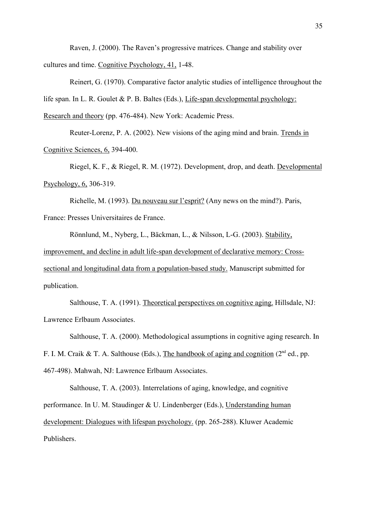Raven, J. (2000). The Raven's progressive matrices. Change and stability over cultures and time. Cognitive Psychology, 41, 1-48.

Reinert, G. (1970). Comparative factor analytic studies of intelligence throughout the life span. In L. R. Goulet & P. B. Baltes (Eds.), Life-span developmental psychology: Research and theory (pp. 476-484). New York: Academic Press.

Reuter-Lorenz, P. A. (2002). New visions of the aging mind and brain. Trends in Cognitive Sciences, 6, 394-400.

Riegel, K. F., & Riegel, R. M. (1972). Development, drop, and death. Developmental Psychology, 6, 306-319.

Richelle, M. (1993). Du nouveau sur l'esprit? (Any news on the mind?). Paris, France: Presses Universitaires de France.

Rönnlund, M., Nyberg, L., Bäckman, L., & Nilsson, L-G. (2003). Stability, improvement, and decline in adult life-span development of declarative memory: Crosssectional and longitudinal data from a population-based study. Manuscript submitted for

publication.

Salthouse, T. A. (1991). Theoretical perspectives on cognitive aging. Hillsdale, NJ: Lawrence Erlbaum Associates.

Salthouse, T. A. (2000). Methodological assumptions in cognitive aging research. In F. I. M. Craik & T. A. Salthouse (Eds.), The handbook of aging and cognition ( $2<sup>nd</sup>$  ed., pp. 467-498). Mahwah, NJ: Lawrence Erlbaum Associates.

Salthouse, T. A. (2003). Interrelations of aging, knowledge, and cognitive performance. In U. M. Staudinger & U. Lindenberger (Eds.), Understanding human development: Dialogues with lifespan psychology. (pp. 265-288). Kluwer Academic Publishers.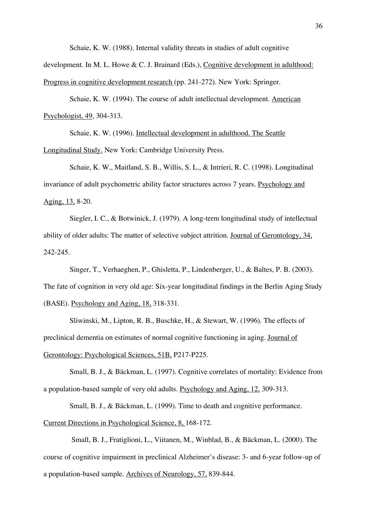Schaie, K. W. (1988). Internal validity threats in studies of adult cognitive

development. In M. L. Howe & C. J. Brainard (Eds.), Cognitive development in adulthood: Progress in cognitive development research (pp. 241-272). New York: Springer.

Schaie, K. W. (1994). The course of adult intellectual development. American Psychologist, 49, 304-313.

Schaie, K. W. (1996). Intellectual development in adulthood. The Seattle Longitudinal Study. New York: Cambridge University Press.

Schaie, K. W., Maitland, S. B., Willis, S. L., & Intrieri, R. C. (1998). Longitudinal invariance of adult psychometric ability factor structures across 7 years. Psychology and Aging, 13, 8-20.

Siegler, I. C., & Botwinick, J. (1979). A long-term longitudinal study of intellectual ability of older adults: The matter of selective subject attrition. Journal of Gerontology, 34, 242-245.

Singer, T., Verhaeghen, P., Ghisletta, P., Lindenberger, U., & Baltes, P. B. (2003). The fate of cognition in very old age: Six-year longitudinal findings in the Berlin Aging Study (BASE). Psychology and Aging, 18, 318-331.

Sliwinski, M., Lipton, R. B., Buschke, H., & Stewart, W. (1996). The effects of preclinical dementia on estimates of normal cognitive functioning in aging. Journal of Gerontology: Psychological Sciences, 51B, P217-P225.

Small, B. J., & Bäckman, L. (1997). Cognitive correlates of mortality: Evidence from a population-based sample of very old adults. Psychology and Aging, 12, 309-313.

Small, B. J., & Bäckman, L. (1999). Time to death and cognitive performance. Current Directions in Psychological Science, 8, 168-172.

 Small, B. J., Fratiglioni, L., Viitanen, M., Winblad, B., & Bäckman, L. (2000). The course of cognitive impairment in preclinical Alzheimer's disease: 3- and 6-year follow-up of a population-based sample. Archives of Neurology, 57, 839-844.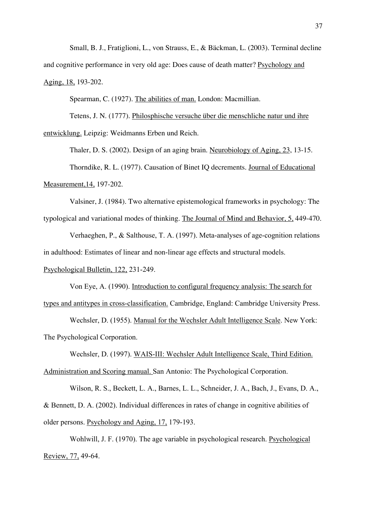Small, B. J., Fratiglioni, L., von Strauss, E., & Bäckman, L. (2003). Terminal decline and cognitive performance in very old age: Does cause of death matter? Psychology and Aging, 18, 193-202.

Spearman, C. (1927). The abilities of man. London: Macmillian.

Tetens, J. N. (1777). Philosphische versuche über die menschliche natur und ihre entwicklung. Leipzig: Weidmanns Erben und Reich.

Thaler, D. S. (2002). Design of an aging brain. Neurobiology of Aging, 23, 13-15. Thorndike, R. L. (1977). Causation of Binet IQ decrements. Journal of Educational Measurement,14, 197-202.

Valsiner, J. (1984). Two alternative epistemological frameworks in psychology: The typological and variational modes of thinking. The Journal of Mind and Behavior, 5, 449-470.

Verhaeghen, P., & Salthouse, T. A. (1997). Meta-analyses of age-cognition relations in adulthood: Estimates of linear and non-linear age effects and structural models.

Psychological Bulletin, 122, 231-249.

Von Eye, A. (1990). Introduction to configural frequency analysis: The search for types and antitypes in cross-classification. Cambridge, England: Cambridge University Press.

Wechsler, D. (1955). Manual for the Wechsler Adult Intelligence Scale. New York: The Psychological Corporation.

Wechsler, D. (1997). WAIS-III: Wechsler Adult Intelligence Scale, Third Edition. Administration and Scoring manual. San Antonio: The Psychological Corporation.

Wilson, R. S., Beckett, L. A., Barnes, L. L., Schneider, J. A., Bach, J., Evans, D. A., & Bennett, D. A. (2002). Individual differences in rates of change in cognitive abilities of older persons. Psychology and Aging, 17, 179-193.

Wohlwill, J. F. (1970). The age variable in psychological research. Psychological Review, 77, 49-64.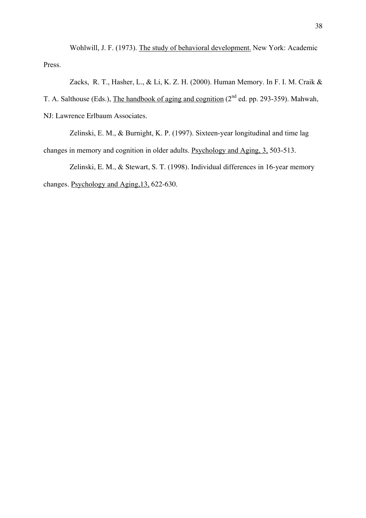Wohlwill, J. F. (1973). The study of behavioral development. New York: Academic Press.

Zacks, R. T., Hasher, L., & Li, K. Z. H. (2000). Human Memory. In F. I. M. Craik & T. A. Salthouse (Eds.), The handbook of aging and cognition  $(2^{nd}$  ed. pp. 293-359). Mahwah, NJ: Lawrence Erlbaum Associates.

Zelinski, E. M., & Burnight, K. P. (1997). Sixteen-year longitudinal and time lag changes in memory and cognition in older adults. Psychology and Aging, 3, 503-513.

Zelinski, E. M., & Stewart, S. T. (1998). Individual differences in 16-year memory changes. Psychology and Aging,13, 622-630.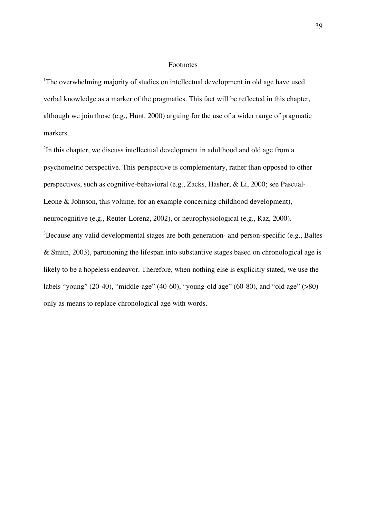# Footnotes

<sup>1</sup>The overwhelming majority of studies on intellectual development in old age have used verbal knowledge as a marker of the pragmatics. This fact will be reflected in this chapter, although we join those (e.g., Hunt, 2000) arguing for the use of a wider range of pragmatic markers.

<sup>2</sup>In this chapter, we discuss intellectual development in adulthood and old age from a psychometric perspective. This perspective is complementary, rather than opposed to other perspectives, such as cognitive-behavioral (e.g., Zacks, Hasher, & Li, 2000; see Pascual-Leone & Johnson, this volume, for an example concerning childhood development), neurocognitive (e.g., Reuter-Lorenz, 2002), or neurophysiological (e.g., Raz, 2000).  $3$ Because any valid developmental stages are both generation- and person-specific (e.g., Baltes & Smith, 2003), partitioning the lifespan into substantive stages based on chronological age is likely to be a hopeless endeavor. Therefore, when nothing else is explicitly stated, we use the labels "young" (20-40), "middle-age" (40-60), "young-old age" (60-80), and "old age" (>80) only as means to replace chronological age with words.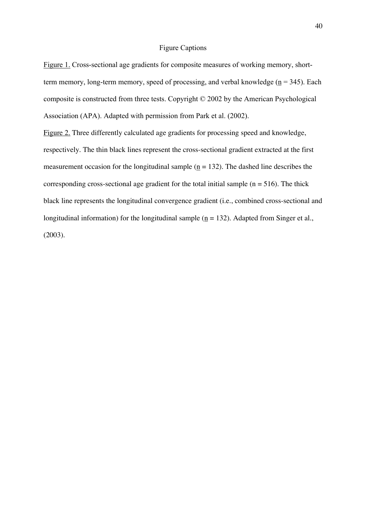# Figure Captions

Figure 1. Cross-sectional age gradients for composite measures of working memory, shortterm memory, long-term memory, speed of processing, and verbal knowledge ( $n = 345$ ). Each composite is constructed from three tests. Copyright © 2002 by the American Psychological Association (APA). Adapted with permission from Park et al. (2002).

Figure 2. Three differently calculated age gradients for processing speed and knowledge, respectively. The thin black lines represent the cross-sectional gradient extracted at the first measurement occasion for the longitudinal sample ( $n = 132$ ). The dashed line describes the corresponding cross-sectional age gradient for the total initial sample ( $n = 516$ ). The thick black line represents the longitudinal convergence gradient (i.e., combined cross-sectional and longitudinal information) for the longitudinal sample ( $n = 132$ ). Adapted from Singer et al., (2003).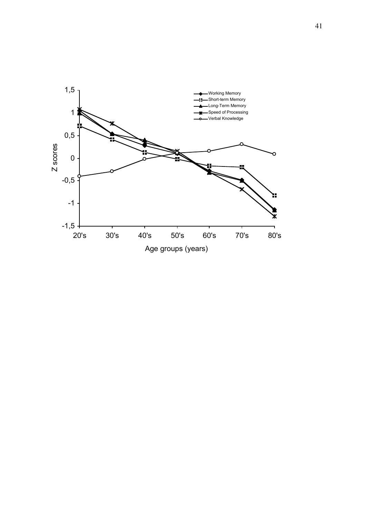